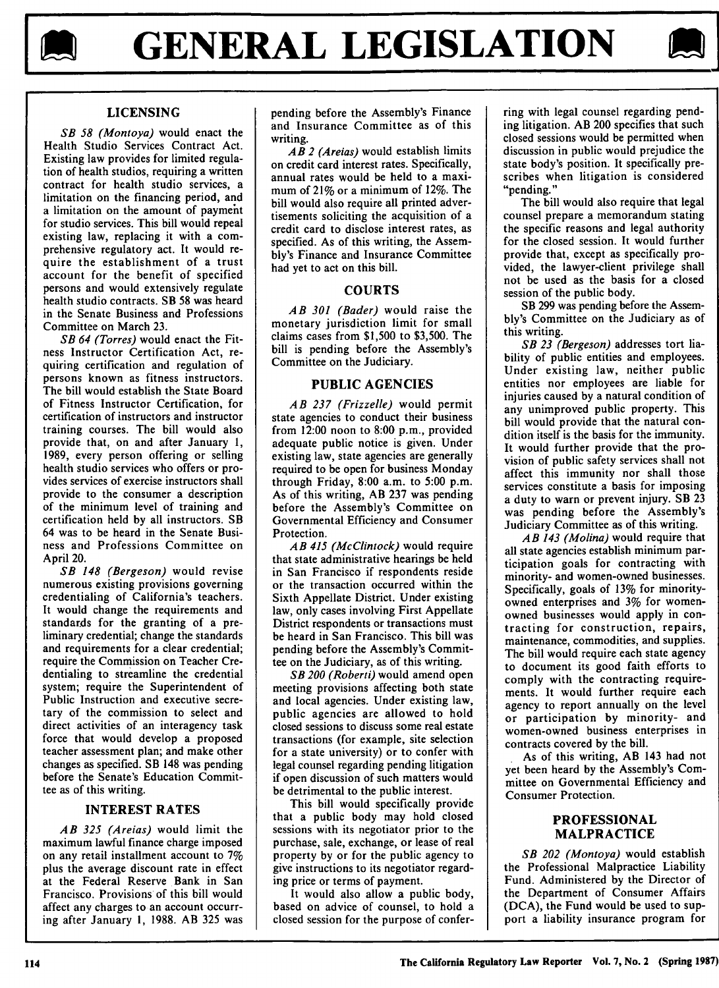



# **LICENSING**

*SB 58 (Montoya)* would enact the Health Studio Services Contract Act. Existing law provides for limited regulation of health studios, requiring a written contract for health studio services, a limitation on the financing period, and a limitation on the amount of paymeht for studio services. This bill would repeal existing law, replacing it with a comprehensive regulatory act. It would require the establishment of a trust account for the benefit of specified persons and would extensively regulate health studio contracts. SB 58 was heard in the Senate Business and Professions Committee on March 23.

*SB 64 (Torres)* would enact the Fitness Instructor Certification Act, requiring certification and regulation of persons known as fitness instructors. The bill would establish the State Board of Fitness Instructor Certification, for certification of instructors and instructor training courses. The bill would also provide that, on and after January **1,** 1989, every person offering or selling health studio services who offers or provides services of exercise instructors shall provide to the consumer a description of the minimum level of training and certification held by all instructors. SB 64 was to be heard in the Senate Business and Professions Committee on April 20.

*SB 148 (Bergeson)* would revise numerous existing provisions governing credentialing of California's teachers. It would change the requirements and standards for the granting of a preliminary credential; change the standards and requirements for a clear credential; require the Commission on Teacher Credentialing to streamline the credential system; require the Superintendent of Public Instruction and executive secretary of the commission to select and direct activities of an interagency task force that would develop a proposed teacher assessment plan; and make other changes as specified. SB 148 was pending before the Senate's Education Committee as of this writing.

## INTEREST RATES

*AB 325 (Areias)* would limit the maximum lawful finance charge imposed on any retail installment account to 7% plus the average discount rate in effect at the Federal Reserve Bank in San Francisco. Provisions of this bill would affect any charges to an account occurring after January **1,** 1988. AB 325 was pending before the Assembly's Finance and Insurance Committee as of this writing.

*AB 2 (Areias)* would establish limits on credit card interest rates. Specifically, annual rates would be held to a maximum of 21% or a minimum of 12%. The bill would also require all printed advertisements soliciting the acquisition of a credit card to disclose interest rates, as specified. As of this writing, the Assembly's Finance and Insurance Committee had yet to act on this bill.

# **COURTS**

*AB 301 (Bader)* would raise the monetary jurisdiction limit for small claims cases from \$1,500 to \$3,500. The bill is pending before the Assembly's Committee on the Judiciary.

# **PUBLIC AGENCIES**

*AB 237 (Frizzelle)* would permit state agencies to conduct their business from  $12:00$  noon to 8:00 p.m., provided adequate public notice is given. Under existing law, state agencies are generally required to be open for business Monday through Friday, 8:00 a.m. to 5:00 p.m. As of this writing, AB 237 was pending before the Assembly's Committee on Governmental Efficiency and Consumer Protection.

*AB 415 (McClintock)* would require that state administrative hearings be held in San Francisco if respondents reside or the transaction occurred within the Sixth Appellate District. Under existing law, only cases involving First Appellate District respondents or transactions must be heard in San Francisco. This bill was pending before the Assembly's Committee on the Judiciary, as of this writing.

*SB 200 (Roberti)* would amend open meeting provisions affecting both state and local agencies. Under existing law, public agencies are allowed to hold closed sessions to discuss some real estate transactions (for example, site selection for a state university) or to confer with legal counsel regarding pending litigation if open discussion of such matters would be detrimental to the public interest.

This bill would specifically provide that a public body may hold closed sessions with its negotiator prior to the purchase, sale, exchange, or lease of real property by or for the public agency to give instructions to its negotiator regarding price or terms of payment.

It would also allow a public body, based on advice of counsel, to hold a closed session for the purpose of conferring with legal counsel regarding pending litigation. AB 200 specifies that such closed sessions would be permitted when discussion in public would prejudice the state body's position. It specifically prescribes when litigation is considered "pending."

The bill would also require that legal counsel prepare a memorandum stating the specific reasons and legal authority for the closed session. It would further provide that, except as specifically provided, the lawyer-client privilege shall not be used as the basis for a closed session of the public body.

SB 299 was pending before the Assembly's Committee on the Judiciary as of this writing.

*SB 23 (Bergeson)* addresses tort liability of public entities and employees. Under existing law, neither public entities nor employees are liable for injuries caused by a natural condition of any unimproved public property. This bill would provide that the natural condition itself is the basis for the immunity. It would further provide that the provision of public safety services shall not affect this immunity nor shall those services constitute a basis for imposing a duty to warn or prevent injury. SB 23 was pending before the Assembly's Judiciary Committee as of this writing.

*AB 143 (Molina)* would require that all state agencies establish minimum participation goals for contracting with minority- and women-owned businesses. Specifically, goals of 13% for minorityowned enterprises and 3% for womenowned businesses would apply in contracting for construction, repairs, maintenance, commodities, and supplies. The bill would require each state agency to document its good faith efforts to comply with the contracting requirements. It would further require each agency to report annually on the level or participation by minority- and women-owned business enterprises in contracts covered by the bill.

As of this writing, AB 143 had not yet been heard by the Assembly's Committee on Governmental Efficiency and Consumer Protection.

## **PROFESSIONAL** MALPRACTICE

*SB 202 (Montoya)* would establish the Professional Malpractice Liability Fund. Administered by the Director of the Department of Consumer Affairs (DCA), the Fund would be used to support a liability insurance program for